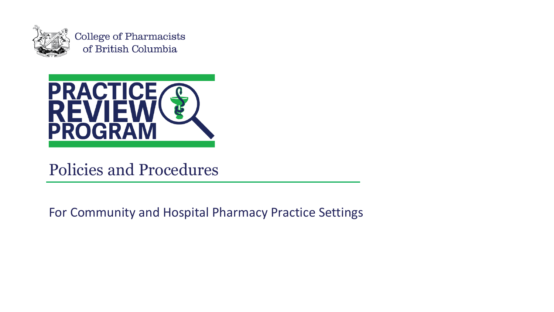

**College of Pharmacists** of British Columbia



#### Policies and Procedures

For Community and Hospital Pharmacy Practice Settings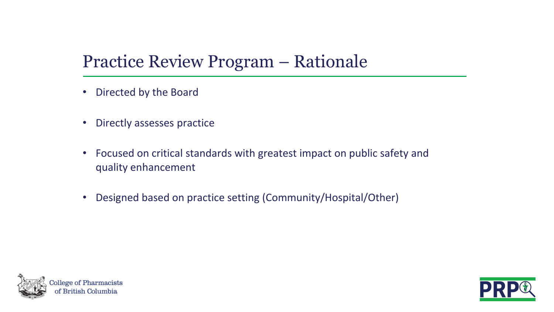#### Practice Review Program – Rationale

- Directed by the Board
- Directly assesses practice
- Focused on critical standards with greatest impact on public safety and quality enhancement
- Designed based on practice setting (Community/Hospital/Other)



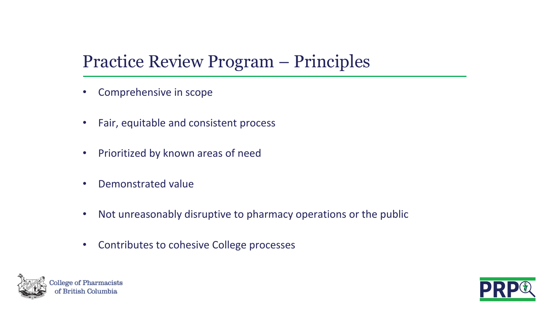#### Practice Review Program – Principles

- Comprehensive in scope
- Fair, equitable and consistent process
- Prioritized by known areas of need
- Demonstrated value
- Not unreasonably disruptive to pharmacy operations or the public
- Contributes to cohesive College processes



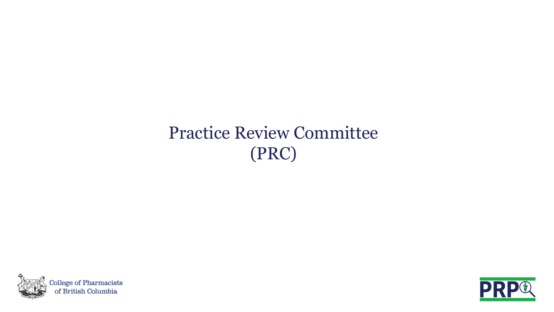## Practice Review Committee (PRC)



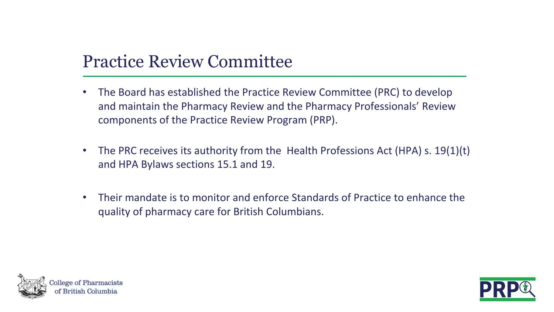#### Practice Review Committee

- The Board has established the Practice Review Committee (PRC) to develop and maintain the Pharmacy Review and the Pharmacy Professionals' Review components of the Practice Review Program (PRP).
- The PRC receives its authority from the Health Professions Act (HPA) s. 19(1)(t) and HPA Bylaws sections 15.1 and 19.
- Their mandate is to monitor and enforce Standards of Practice to enhance the quality of pharmacy care for British Columbians.



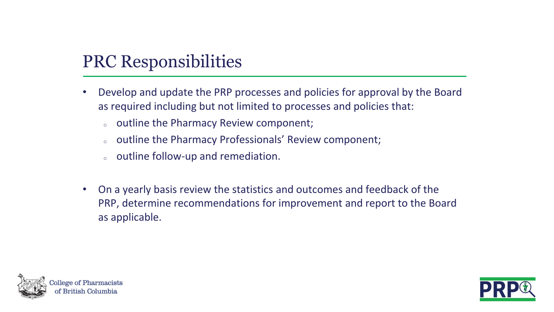#### PRC Responsibilities

- Develop and update the PRP processes and policies for approval by the Board as required including but not limited to processes and policies that:
	- outline the Pharmacy Review component;
	- outline the Pharmacy Professionals' Review component;
	- outline follow-up and remediation.
- On a yearly basis review the statistics and outcomes and feedback of the PRP, determine recommendations for improvement and report to the Board as applicable.



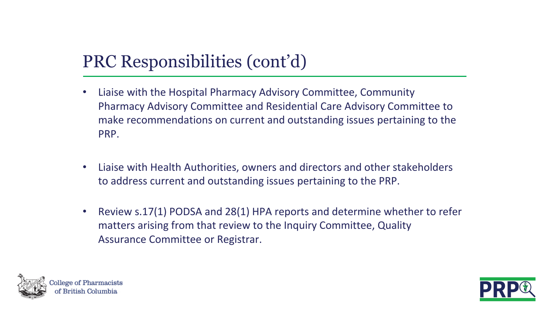#### PRC Responsibilities (cont'd)

- Liaise with the Hospital Pharmacy Advisory Committee, Community Pharmacy Advisory Committee and Residential Care Advisory Committee to make recommendations on current and outstanding issues pertaining to the PRP.
- Liaise with Health Authorities, owners and directors and other stakeholders to address current and outstanding issues pertaining to the PRP.
- Review s.17(1) PODSA and 28(1) HPA reports and determine whether to refer matters arising from that review to the Inquiry Committee, Quality Assurance Committee or Registrar.



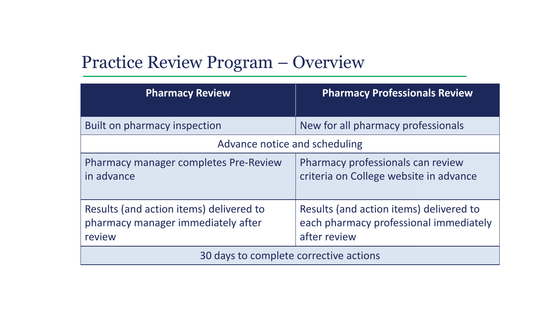#### Practice Review Program – Overview

| <b>Pharmacy Review</b>                                                                  | <b>Pharmacy Professionals Review</b>                                                              |
|-----------------------------------------------------------------------------------------|---------------------------------------------------------------------------------------------------|
| Built on pharmacy inspection                                                            | New for all pharmacy professionals                                                                |
| Advance notice and scheduling                                                           |                                                                                                   |
| <b>Pharmacy manager completes Pre-Review</b><br>in advance                              | Pharmacy professionals can review<br>criteria on College website in advance                       |
| Results (and action items) delivered to<br>pharmacy manager immediately after<br>review | Results (and action items) delivered to<br>each pharmacy professional immediately<br>after review |
| 30 days to complete corrective actions                                                  |                                                                                                   |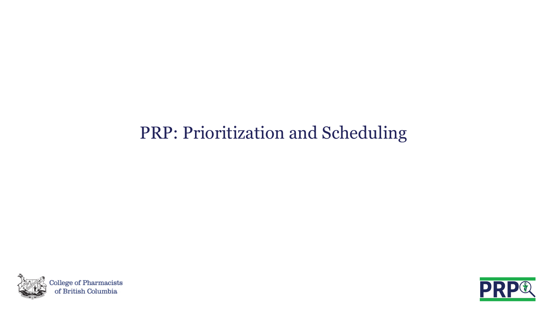#### PRP: Prioritization and Scheduling



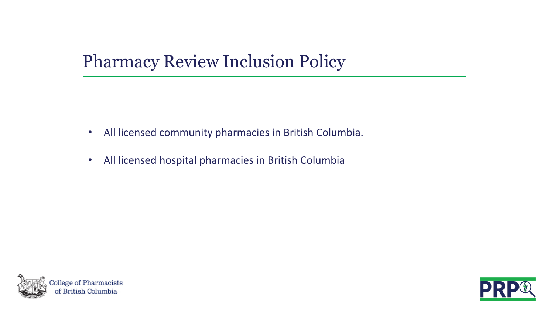#### Pharmacy Review Inclusion Policy

- All licensed community pharmacies in British Columbia.
- All licensed hospital pharmacies in British Columbia



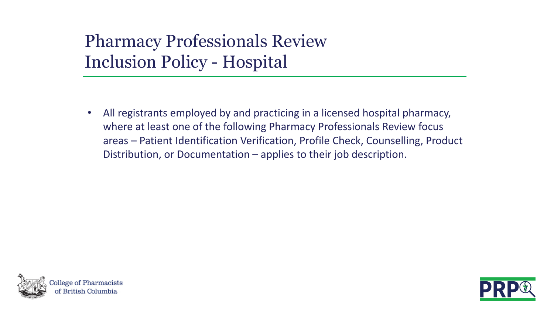## Pharmacy Professionals Review Inclusion Policy - Hospital

• All registrants employed by and practicing in a licensed hospital pharmacy, where at least one of the following Pharmacy Professionals Review focus areas – Patient Identification Verification, Profile Check, Counselling, Product Distribution, or Documentation – applies to their job description.



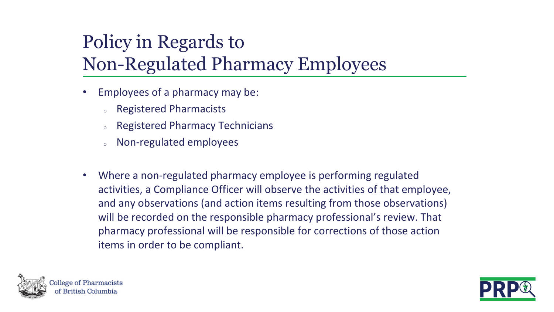# Policy in Regards to Non-Regulated Pharmacy Employees

- Employees of a pharmacy may be:
	- **Registered Pharmacists**
	- Registered Pharmacy Technicians
	- Non-regulated employees
- Where a non-regulated pharmacy employee is performing regulated activities, a Compliance Officer will observe the activities of that employee, and any observations (and action items resulting from those observations) will be recorded on the responsible pharmacy professional's review. That pharmacy professional will be responsible for corrections of those action items in order to be compliant.



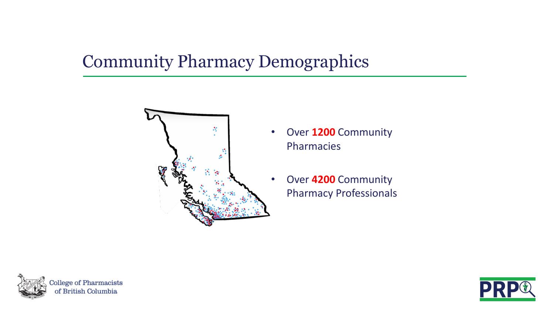## Community Pharmacy Demographics



- Over **1200** Community Pharmacies
	- Over **4200** Community Pharmacy Professionals



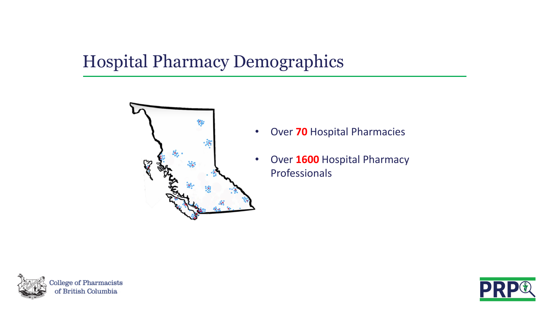## Hospital Pharmacy Demographics



- Over **70** Hospital Pharmacies
- Over **1600** Hospital Pharmacy Professionals



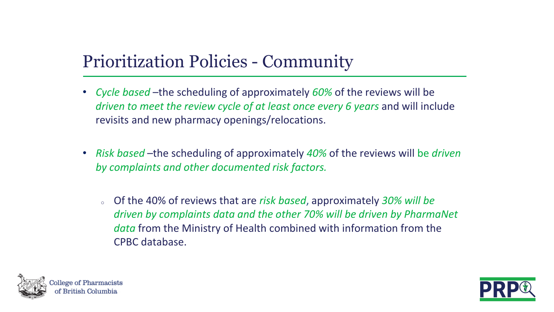#### Prioritization Policies - Community

- *Cycle based* –the scheduling of approximately *60%* of the reviews will be *driven to meet the review cycle of at least once every 6 years* and will include revisits and new pharmacy openings/relocations.
- *Risk based* –the scheduling of approximately *40%* of the reviews will be *driven by complaints and other documented risk factors.*
	- <sup>o</sup> Of the 40% of reviews that are *risk based*, approximately *30% will be driven by complaints data and the other 70% will be driven by PharmaNet data* from the Ministry of Health combined with information from the CPBC database.



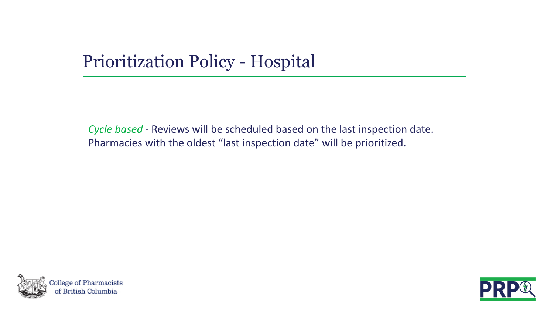## Prioritization Policy - Hospital

*Cycle based* - Reviews will be scheduled based on the last inspection date. Pharmacies with the oldest "last inspection date" will be prioritized.



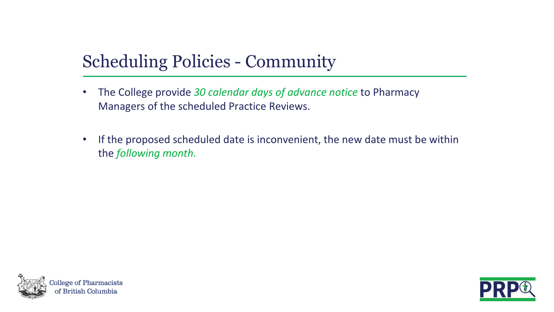#### Scheduling Policies - Community

- The College provide *30 calendar days of advance notice* to Pharmacy Managers of the scheduled Practice Reviews.
- If the proposed scheduled date is inconvenient, the new date must be within the *following month.*



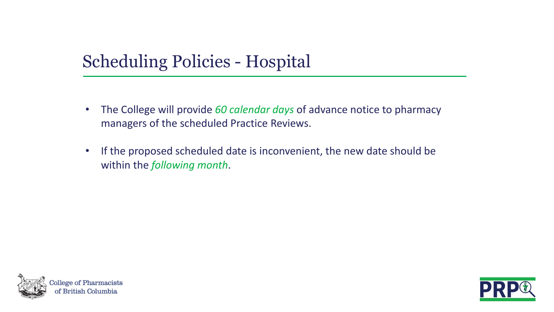#### Scheduling Policies - Hospital

- The College will provide *60 calendar days* of advance notice to pharmacy managers of the scheduled Practice Reviews.
- If the proposed scheduled date is inconvenient, the new date should be within the *following month*.



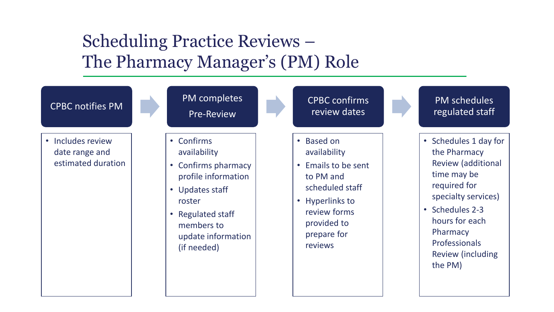#### Scheduling Practice Reviews – The Pharmacy Manager's (PM) Role

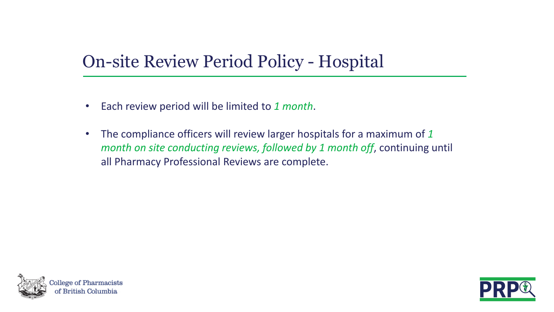## On-site Review Period Policy - Hospital

- Each review period will be limited to *1 month*.
- The compliance officers will review larger hospitals for a maximum of *1 month on site conducting reviews, followed by 1 month off*, continuing until all Pharmacy Professional Reviews are complete.



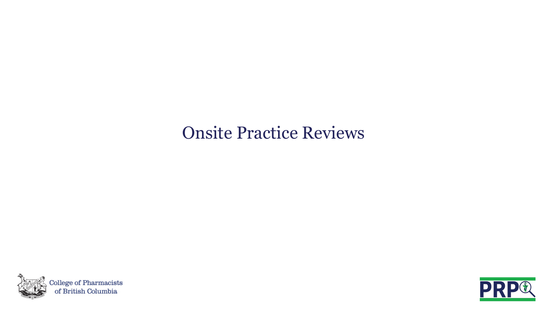#### Onsite Practice Reviews



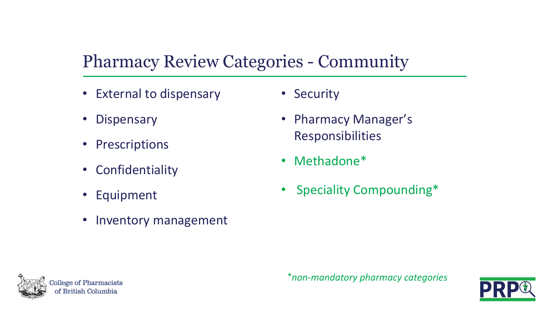## Pharmacy Review Categories - Community

- External to dispensary
- Dispensary
- Prescriptions
- Confidentiality
- Equipment
- Inventory management
- Security
- Pharmacy Manager's Responsibilities
- Methadone\*
- Speciality Compounding\*



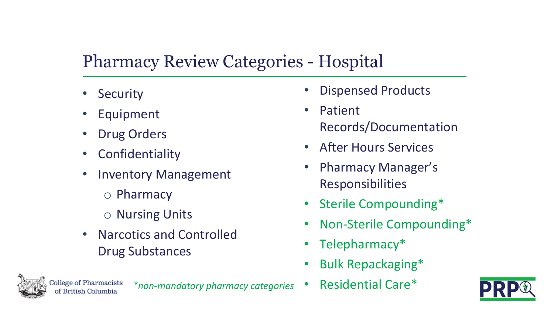## Pharmacy Review Categories - Hospital

- **Security**
- **Equipment**
- Drug Orders
- Confidentiality
- Inventory Management
	- o Pharmacy
	- o Nursing Units
- Narcotics and Controlled Drug Substances
- Dispensed Products
- Patient Records/Documentation
- After Hours Services
- Pharmacy Manager's Responsibilities
- Sterile Compounding\*
- Non-Sterile Compounding\*
- Telepharmacy\*
- Bulk Repackaging\*

ege of Pharmacists

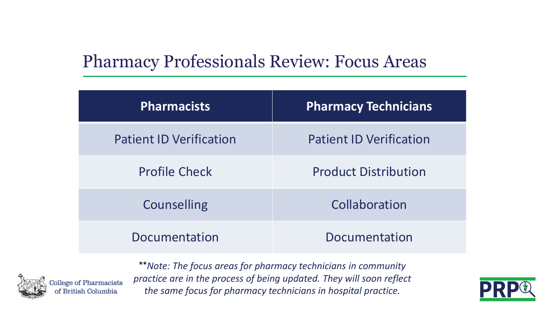#### Pharmacy Professionals Review: Focus Areas

| <b>Pharmacists</b>             | <b>Pharmacy Technicians</b>    |
|--------------------------------|--------------------------------|
| <b>Patient ID Verification</b> | <b>Patient ID Verification</b> |
| <b>Profile Check</b>           | <b>Product Distribution</b>    |
| <b>Counselling</b>             | Collaboration                  |
| Documentation                  | Documentation                  |



\*\**Note: The focus areas for pharmacy technicians in community practice are in the process of being updated. They will soon reflect the same focus for pharmacy technicians in hospital practice.*

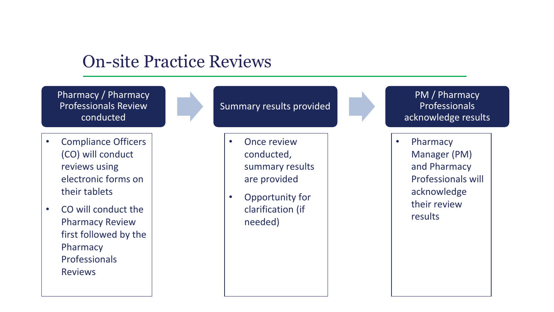#### On-site Practice Reviews

Pharmacy / Pharmacy Professionals Review conducted

- Compliance Officers (CO) will conduct reviews using electronic forms on their tablets
- CO will conduct the Pharmacy Review first followed by the Pharmacy Professionals Reviews

Summary results provided

- **Once review** conducted, summary results are provided
- Opportunity for clarification (if needed)

PM / Pharmacy Professionals acknowledge results

• Pharmacy Manager (PM) and Pharmacy Professionals will acknowledge their review results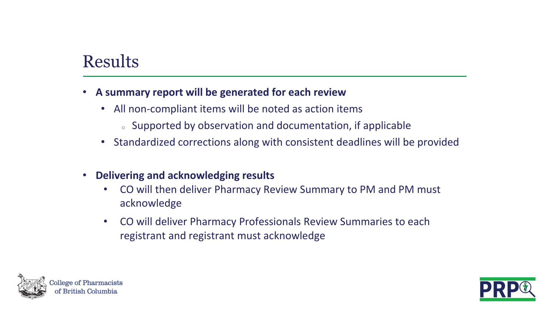#### Results

#### • **A summary report will be generated for each review**

- All non-compliant items will be noted as action items
	- <sup>o</sup> Supported by observation and documentation, if applicable
- Standardized corrections along with consistent deadlines will be provided
- **Delivering and acknowledging results**
	- CO will then deliver Pharmacy Review Summary to PM and PM must acknowledge
	- CO will deliver Pharmacy Professionals Review Summaries to each registrant and registrant must acknowledge



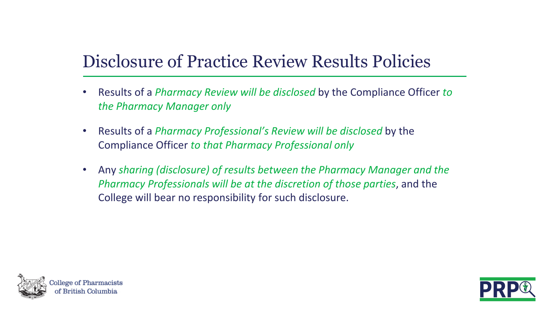## Disclosure of Practice Review Results Policies

- Results of a *Pharmacy Review will be disclosed* by the Compliance Officer *to the Pharmacy Manager only*
- Results of a *Pharmacy Professional's Review will be disclosed* by the Compliance Officer *to that Pharmacy Professional only*
- Any *sharing (disclosure) of results between the Pharmacy Manager and the Pharmacy Professionals will be at the discretion of those parties*, and the College will bear no responsibility for such disclosure.



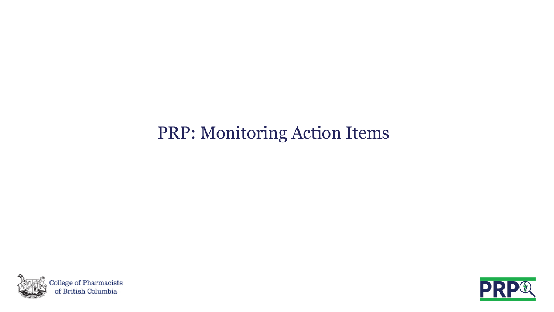## PRP: Monitoring Action Items



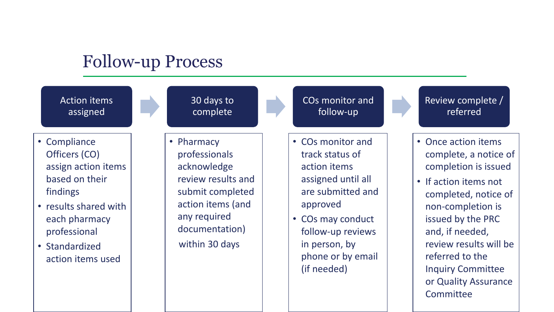#### Follow-up Process

Action items assigned

- Compliance Officers (CO) assign action items based on their findings
- results shared with each pharmacy professional
- Standardized action items used

30 days to complete

• Pharmacy professionals acknowledge review results and submit completed action items (and any required documentation) within 30 days

- COs monitor and follow-up
- COs monitor and track status of action items assigned until all are submitted and approved
- COs may conduct follow-up reviews in person, by phone or by email (if needed)

Review complete / referred

- Once action items complete, a notice of completion is issued
- If action items not completed, notice of non-completion is issued by the PRC and, if needed, review results will be referred to the Inquiry Committee or Quality Assurance Committee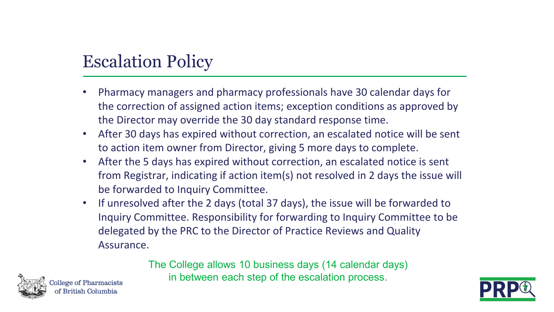#### Escalation Policy

- Pharmacy managers and pharmacy professionals have 30 calendar days for the correction of assigned action items; exception conditions as approved by the Director may override the 30 day standard response time.
- After 30 days has expired without correction, an escalated notice will be sent to action item owner from Director, giving 5 more days to complete.
- After the 5 days has expired without correction, an escalated notice is sent from Registrar, indicating if action item(s) not resolved in 2 days the issue will be forwarded to Inquiry Committee.
- If unresolved after the 2 days (total 37 days), the issue will be forwarded to Inquiry Committee. Responsibility for forwarding to Inquiry Committee to be delegated by the PRC to the Director of Practice Reviews and Quality Assurance.

The College allows 10 business days (14 calendar days) in between each step of the escalation process.